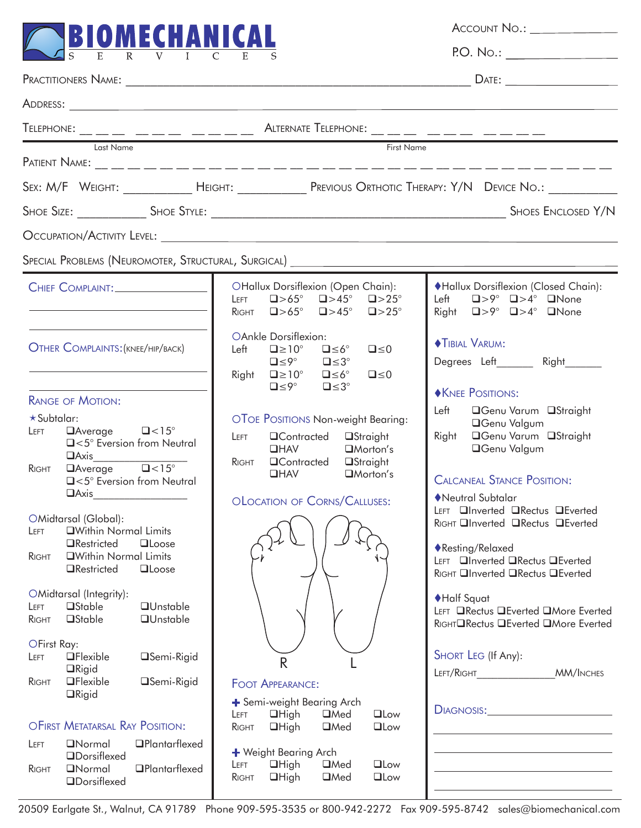

Account No.: P.O. No.:

| Telephone: _ _ _ _ _ _ _ _ _ _ _ _ _ _ _ _ Alternate Telephone: _ _ _ _ _ _ _ _ _ _ _                                                                                                                                   |                                                                                                                                                                                                                                                                                    |                                                                                                                                                                                                                      |  |  |  |  |  |
|-------------------------------------------------------------------------------------------------------------------------------------------------------------------------------------------------------------------------|------------------------------------------------------------------------------------------------------------------------------------------------------------------------------------------------------------------------------------------------------------------------------------|----------------------------------------------------------------------------------------------------------------------------------------------------------------------------------------------------------------------|--|--|--|--|--|
| Last Name<br>First Name                                                                                                                                                                                                 |                                                                                                                                                                                                                                                                                    |                                                                                                                                                                                                                      |  |  |  |  |  |
|                                                                                                                                                                                                                         | SEX: M/F WEIGHT: ______________ HEIGHT: _______________ PREVIOUS ORTHOTIC THERAPY: Y/N DEVICE NO.: __________                                                                                                                                                                      |                                                                                                                                                                                                                      |  |  |  |  |  |
|                                                                                                                                                                                                                         |                                                                                                                                                                                                                                                                                    |                                                                                                                                                                                                                      |  |  |  |  |  |
|                                                                                                                                                                                                                         |                                                                                                                                                                                                                                                                                    |                                                                                                                                                                                                                      |  |  |  |  |  |
|                                                                                                                                                                                                                         | Special Problems (Neuromoter, Structural, Surgical) ____________________________                                                                                                                                                                                                   |                                                                                                                                                                                                                      |  |  |  |  |  |
| CHIEF COMPLAINT:                                                                                                                                                                                                        | <b>OHallux Dorsiflexion (Open Chain):</b><br>$\Box > 65^{\circ}$ $\Box > 45^{\circ}$ $\Box > 25^{\circ}$<br>LEFT<br>RIGHT $\Box$ >65° $\Box$ >45° $\Box$ >25°                                                                                                                      | ◆Hallux Dorsiflexion (Closed Chain):<br>Left $\Box > 9^{\circ}$ $\Box > 4^{\circ}$ $\Box$ None<br>Right $\Box > 9^{\circ}$ $\Box > 4^{\circ}$ $\Box$ None                                                            |  |  |  |  |  |
| OTHER COMPLAINTS: (KNEE/HIP/BACK)                                                                                                                                                                                       | OAnkle Dorsiflexion:<br>$\square \leq 6^\circ$<br>Left $\Box \ge 10^{\circ}$<br>$\square \leq 0$<br>$\square \leq 9^\circ$<br>$\square \leq 3^\circ$<br>Right $\square \ge 10^\circ$ $\square \le 6^\circ$<br>$\square \leq 0$<br>$\square \leq 9^\circ$<br>$\square \leq 3^\circ$ | <b>TIBIAL VARUM:</b><br>Degrees Left________ Right_______<br><b>NEE POSITIONS:</b>                                                                                                                                   |  |  |  |  |  |
| <b>RANGE OF MOTION:</b><br>$\star$ Subtalar:<br>$\Box$ Average $\Box$ < 15°<br>LEFT<br>□<5° Eversion from Neutral<br>$\sqrt{2}$ Average $\sqrt{2}$ <15°<br>RIGHT<br>□<5° Eversion from Neutral<br>$\boxed{\text{Axis}}$ | OTOE POSITIONS Non-weight Bearing:<br>$\Box$ Contracted<br><b>□Straight</b><br>LEFT<br>$\Box$ HAV<br>$\Box$ Morton's<br>RIGHT <b>QContracted QStraight</b><br>$\Box$ HAV<br>$\Box$ Morton's<br>OLOCATION OF CORNS/CALLUSES:                                                        | Left<br>□Genu Varum □Straight<br><b>OGenu Valgum</b><br>Right <b>CGenu Varum OStraight</b><br><b>OGenu Valgum</b><br><b>CALCANEAL STANCE POSITION:</b><br>Neutral Subtalar<br>LEFT <b>QInverted QRectus QEverted</b> |  |  |  |  |  |
| OMidtarsal (Global):<br><b>OWithin Normal Limits</b><br>LEFT<br><b>O</b> Restricted<br>$\Box$ Loose<br><b>QWithin Normal Limits</b><br>RIGHT<br><b>O</b> Restricted<br><b>QLoose</b><br>OMidtarsal (Integrity):         |                                                                                                                                                                                                                                                                                    | RIGHT Inverted IRectus IEverted<br>◆ Resting/Relaxed<br>LEFT <b>QInverted QRectus QEverted</b><br>RIGHT QInverted QRectus QEverted                                                                                   |  |  |  |  |  |
| <b>□Stable</b><br><b>QU</b> nstable<br>LEFT<br><b>□Stable</b><br><b>QUnstable</b><br>RIGHT<br>OFirst Ray:                                                                                                               |                                                                                                                                                                                                                                                                                    | ◆Half Squat<br>LEFT ORectus OEverted OMore Everted<br>RIGHTORectus OEverted OMore Everted                                                                                                                            |  |  |  |  |  |
| $\Box$ Flexible<br>□Semi-Rigid<br>LEFT<br>$\Box$ Rigid<br><b>OFlexible</b><br>□Semi-Rigid<br>RIGHT<br>$\Box$ Rigid                                                                                                      | R<br><b>FOOT APPEARANCE:</b><br>+ Semi-weight Bearing Arch                                                                                                                                                                                                                         | SHORT LEG (If Any):<br>LEFT/RIGHT<br><b>MM/INCHES</b><br>DIAGNOSIS: <b>Example 2014</b>                                                                                                                              |  |  |  |  |  |
| OFIRST METATARSAL RAY POSITION:<br><b>ONormal</b><br><b>OPlantarflexed</b><br>LEFT<br><b>ODorsiflexed</b><br><b>OPlantarflexed</b><br><b>ONormal</b><br><b>RIGHT</b><br><b>ODorsiflexed</b>                             | $\Box$ High<br>$\Box$ Low<br>$\Box$ Med<br>LEFT<br>$\Box$ High<br>$\Box$ Med<br>$\Box$ Low<br>RIGHT<br>+ Weight Bearing Arch<br>$\Box$ High<br>$\Box$ Med<br><b>QLow</b><br>LEFT<br>$\Box$ High<br>$\Box$ Med<br>$\Box$ Low<br>RIGHT                                               |                                                                                                                                                                                                                      |  |  |  |  |  |

20509 Earlgate St., Walnut, CA 91789 Phone 909-595-3535 or 800-942-2272 Fax 909-595-8742 sales@biomechanical.com